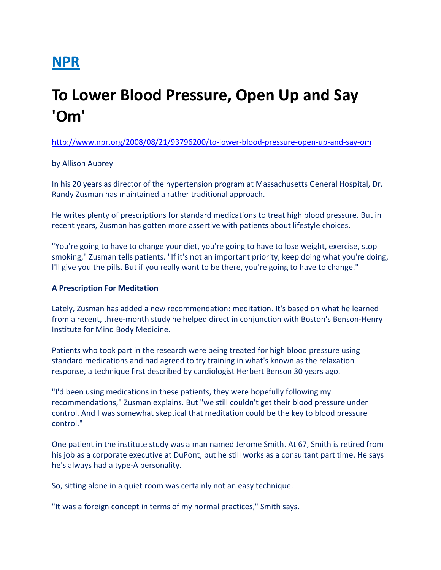# NPR

# To Lower Blood Pressure, Open Up and Say 'Om'

http://www.npr.org/2008/08/21/93796200/to-lower-blood-pressure-open-up-and-say-om

## by Allison Aubrey

In his 20 years as director of the hypertension program at Massachusetts General Hospital, Dr. Randy Zusman has maintained a rather traditional approach.

He writes plenty of prescriptions for standard medications to treat high blood pressure. But in recent years, Zusman has gotten more assertive with patients about lifestyle choices.

"You're going to have to change your diet, you're going to have to lose weight, exercise, stop smoking," Zusman tells patients. "If it's not an important priority, keep doing what you're doing, I'll give you the pills. But if you really want to be there, you're going to have to change."

### A Prescription For Meditation

Lately, Zusman has added a new recommendation: meditation. It's based on what he learned from a recent, three-month study he helped direct in conjunction with Boston's Benson-Henry Institute for Mind Body Medicine.

Patients who took part in the research were being treated for high blood pressure using standard medications and had agreed to try training in what's known as the relaxation response, a technique first described by cardiologist Herbert Benson 30 years ago.

"I'd been using medications in these patients, they were hopefully following my recommendations," Zusman explains. But "we still couldn't get their blood pressure under control. And I was somewhat skeptical that meditation could be the key to blood pressure control."

One patient in the institute study was a man named Jerome Smith. At 67, Smith is retired from his job as a corporate executive at DuPont, but he still works as a consultant part time. He says he's always had a type-A personality.

So, sitting alone in a quiet room was certainly not an easy technique.

"It was a foreign concept in terms of my normal practices," Smith says.